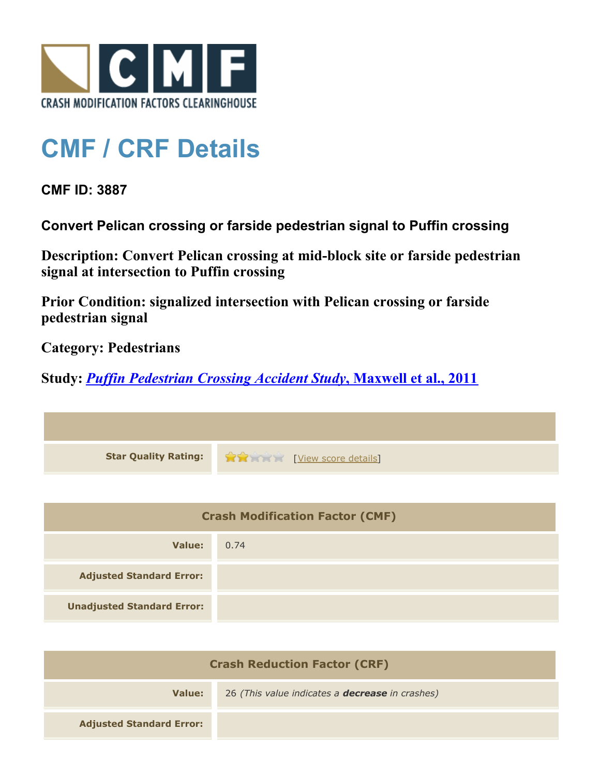

## **CMF / CRF Details**

**CMF ID: 3887**

**Convert Pelican crossing or farside pedestrian signal to Puffin crossing**

**Description: Convert Pelican crossing at mid-block site or farside pedestrian signal at intersection to Puffin crossing**

**Prior Condition: signalized intersection with Pelican crossing or farside pedestrian signal**

**Category: Pedestrians**

**Study:** *[Puffin Pedestrian Crossing Accident Study](http://www.cmfclearinghouse.org/study_detail.cfm?stid=239)***[, Maxwell et al., 2011](http://www.cmfclearinghouse.org/study_detail.cfm?stid=239)**

| Star Quality Rating: 1999 [View score details] |
|------------------------------------------------|

| <b>Crash Modification Factor (CMF)</b> |      |
|----------------------------------------|------|
| Value:                                 | 0.74 |
| <b>Adjusted Standard Error:</b>        |      |
| <b>Unadjusted Standard Error:</b>      |      |

| <b>Crash Reduction Factor (CRF)</b> |                                                        |
|-------------------------------------|--------------------------------------------------------|
| Value:                              | 26 (This value indicates a <b>decrease</b> in crashes) |
| <b>Adjusted Standard Error:</b>     |                                                        |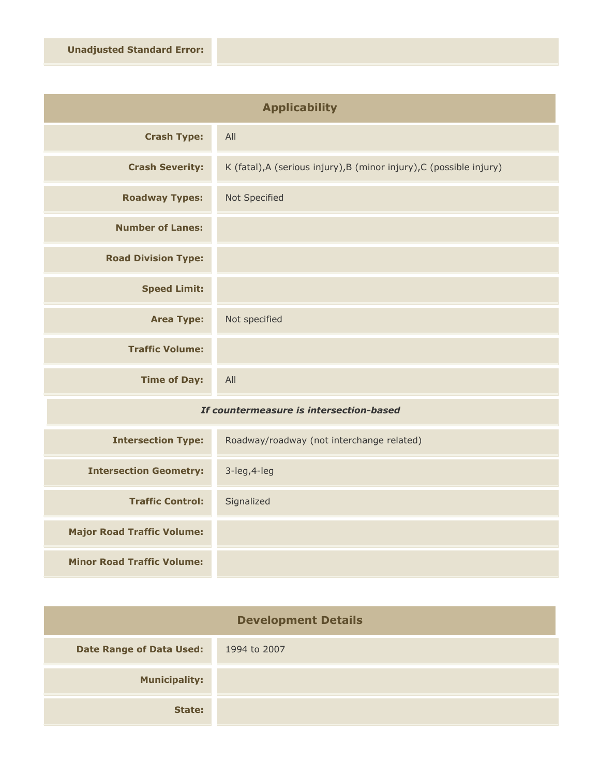| <b>Applicability</b>       |                                                                      |
|----------------------------|----------------------------------------------------------------------|
| <b>Crash Type:</b>         | All                                                                  |
| <b>Crash Severity:</b>     | K (fatal), A (serious injury), B (minor injury), C (possible injury) |
| <b>Roadway Types:</b>      | Not Specified                                                        |
| <b>Number of Lanes:</b>    |                                                                      |
| <b>Road Division Type:</b> |                                                                      |
| <b>Speed Limit:</b>        |                                                                      |
| <b>Area Type:</b>          | Not specified                                                        |
| <b>Traffic Volume:</b>     |                                                                      |
| <b>Time of Day:</b>        | All                                                                  |

## *If countermeasure is intersection-based*

| <b>Intersection Type:</b>         | Roadway/roadway (not interchange related) |
|-----------------------------------|-------------------------------------------|
| <b>Intersection Geometry:</b>     | $3$ -leg, $4$ -leg                        |
| <b>Traffic Control:</b>           | Signalized                                |
| <b>Major Road Traffic Volume:</b> |                                           |
| <b>Minor Road Traffic Volume:</b> |                                           |

| <b>Development Details</b>      |              |
|---------------------------------|--------------|
| <b>Date Range of Data Used:</b> | 1994 to 2007 |
| <b>Municipality:</b>            |              |
| State:                          |              |